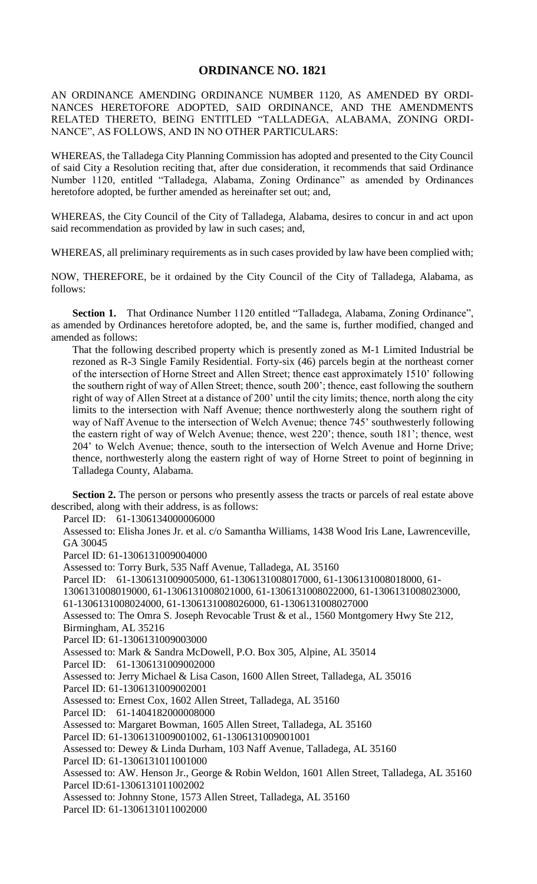## **ORDINANCE NO. 1821**

AN ORDINANCE AMENDING ORDINANCE NUMBER 1120, AS AMENDED BY ORDI-NANCES HERETOFORE ADOPTED, SAID ORDINANCE, AND THE AMENDMENTS RELATED THERETO, BEING ENTITLED "TALLADEGA, ALABAMA, ZONING ORDI-NANCE", AS FOLLOWS, AND IN NO OTHER PARTICULARS:

WHEREAS, the Talladega City Planning Commission has adopted and presented to the City Council of said City a Resolution reciting that, after due consideration, it recommends that said Ordinance Number 1120, entitled "Talladega, Alabama, Zoning Ordinance" as amended by Ordinances heretofore adopted, be further amended as hereinafter set out; and,

WHEREAS, the City Council of the City of Talladega, Alabama, desires to concur in and act upon said recommendation as provided by law in such cases; and,

WHEREAS, all preliminary requirements as in such cases provided by law have been complied with;

NOW, THEREFORE, be it ordained by the City Council of the City of Talladega, Alabama, as follows:

Section 1. That Ordinance Number 1120 entitled "Talladega, Alabama, Zoning Ordinance", as amended by Ordinances heretofore adopted, be, and the same is, further modified, changed and amended as follows:

That the following described property which is presently zoned as M-1 Limited Industrial be rezoned as R-3 Single Family Residential. Forty-six (46) parcels begin at the northeast corner of the intersection of Horne Street and Allen Street; thence east approximately 1510' following the southern right of way of Allen Street; thence, south 200'; thence, east following the southern right of way of Allen Street at a distance of 200' until the city limits; thence, north along the city limits to the intersection with Naff Avenue; thence northwesterly along the southern right of way of Naff Avenue to the intersection of Welch Avenue; thence 745' southwesterly following the eastern right of way of Welch Avenue; thence, west 220'; thence, south 181'; thence, west 204' to Welch Avenue; thence, south to the intersection of Welch Avenue and Horne Drive; thence, northwesterly along the eastern right of way of Horne Street to point of beginning in Talladega County, Alabama.

**Section 2.** The person or persons who presently assess the tracts or parcels of real estate above described, along with their address, is as follows:

Parcel ID: 61-1306134000006000

Assessed to: Elisha Jones Jr. et al. c/o Samantha Williams, 1438 Wood Iris Lane, Lawrenceville, GA 30045

Parcel ID: 61-1306131009004000

Assessed to: Torry Burk, 535 Naff Avenue, Talladega, AL 35160

Parcel ID: 61-1306131009005000, 61-1306131008017000, 61-1306131008018000, 61-

1306131008019000, 61-1306131008021000, 61-1306131008022000, 61-1306131008023000,

61-1306131008024000, 61-1306131008026000, 61-1306131008027000

Assessed to: The Omra S. Joseph Revocable Trust & et al., 1560 Montgomery Hwy Ste 212, Birmingham, AL 35216

Parcel ID: 61-1306131009003000

Assessed to: Mark & Sandra McDowell, P.O. Box 305, Alpine, AL 35014

Parcel ID: 61-1306131009002000

Assessed to: Jerry Michael & Lisa Cason, 1600 Allen Street, Talladega, AL 35016

Parcel ID: 61-1306131009002001

Assessed to: Ernest Cox, 1602 Allen Street, Talladega, AL 35160

Parcel ID: 61-1404182000008000

Assessed to: Margaret Bowman, 1605 Allen Street, Talladega, AL 35160

Parcel ID: 61-1306131009001002, 61-1306131009001001

Assessed to: Dewey & Linda Durham, 103 Naff Avenue, Talladega, AL 35160

Parcel ID: 61-1306131011001000

Assessed to: AW. Henson Jr., George & Robin Weldon, 1601 Allen Street, Talladega, AL 35160 Parcel ID:61-1306131011002002

Assessed to: Johnny Stone, 1573 Allen Street, Talladega, AL 35160

Parcel ID: 61-1306131011002000